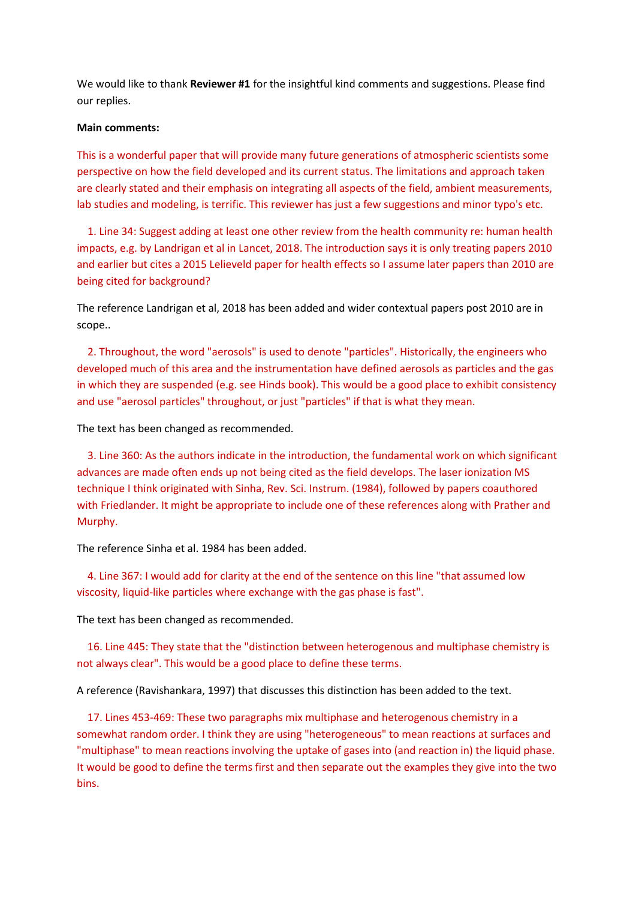We would like to thank **Reviewer #1** for the insightful kind comments and suggestions. Please find our replies.

## **Main comments:**

This is a wonderful paper that will provide many future generations of atmospheric scientists some perspective on how the field developed and its current status. The limitations and approach taken are clearly stated and their emphasis on integrating all aspects of the field, ambient measurements, lab studies and modeling, is terrific. This reviewer has just a few suggestions and minor typo's etc.

 1. Line 34: Suggest adding at least one other review from the health community re: human health impacts, e.g. by Landrigan et al in Lancet, 2018. The introduction says it is only treating papers 2010 and earlier but cites a 2015 Lelieveld paper for health effects so I assume later papers than 2010 are being cited for background?

The reference Landrigan et al, 2018 has been added and wider contextual papers post 2010 are in scope..

 2. Throughout, the word "aerosols" is used to denote "particles". Historically, the engineers who developed much of this area and the instrumentation have defined aerosols as particles and the gas in which they are suspended (e.g. see Hinds book). This would be a good place to exhibit consistency and use "aerosol particles" throughout, or just "particles" if that is what they mean.

The text has been changed as recommended.

 3. Line 360: As the authors indicate in the introduction, the fundamental work on which significant advances are made often ends up not being cited as the field develops. The laser ionization MS technique I think originated with Sinha, Rev. Sci. Instrum. (1984), followed by papers coauthored with Friedlander. It might be appropriate to include one of these references along with Prather and Murphy.

The reference Sinha et al. 1984 has been added.

 4. Line 367: I would add for clarity at the end of the sentence on this line "that assumed low viscosity, liquid-like particles where exchange with the gas phase is fast".

The text has been changed as recommended.

 16. Line 445: They state that the "distinction between heterogenous and multiphase chemistry is not always clear". This would be a good place to define these terms.

A reference (Ravishankara, 1997) that discusses this distinction has been added to the text.

 17. Lines 453-469: These two paragraphs mix multiphase and heterogenous chemistry in a somewhat random order. I think they are using "heterogeneous" to mean reactions at surfaces and "multiphase" to mean reactions involving the uptake of gases into (and reaction in) the liquid phase. It would be good to define the terms first and then separate out the examples they give into the two bins.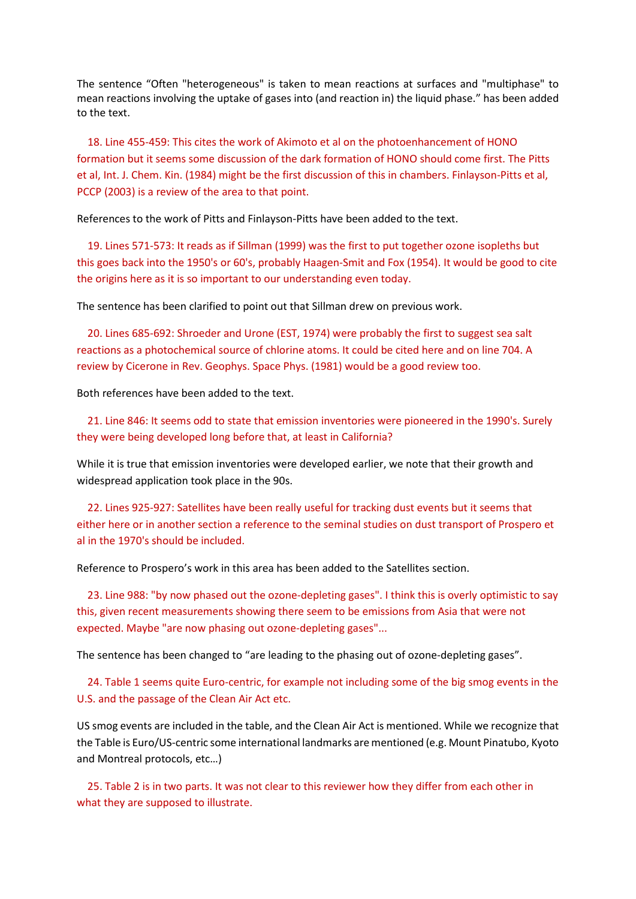The sentence "Often "heterogeneous" is taken to mean reactions at surfaces and "multiphase" to mean reactions involving the uptake of gases into (and reaction in) the liquid phase." has been added to the text.

 18. Line 455-459: This cites the work of Akimoto et al on the photoenhancement of HONO formation but it seems some discussion of the dark formation of HONO should come first. The Pitts et al, Int. J. Chem. Kin. (1984) might be the first discussion of this in chambers. Finlayson-Pitts et al, PCCP (2003) is a review of the area to that point.

References to the work of Pitts and Finlayson-Pitts have been added to the text.

 19. Lines 571-573: It reads as if Sillman (1999) was the first to put together ozone isopleths but this goes back into the 1950's or 60's, probably Haagen-Smit and Fox (1954). It would be good to cite the origins here as it is so important to our understanding even today.

The sentence has been clarified to point out that Sillman drew on previous work.

 20. Lines 685-692: Shroeder and Urone (EST, 1974) were probably the first to suggest sea salt reactions as a photochemical source of chlorine atoms. It could be cited here and on line 704. A review by Cicerone in Rev. Geophys. Space Phys. (1981) would be a good review too.

Both references have been added to the text.

 21. Line 846: It seems odd to state that emission inventories were pioneered in the 1990's. Surely they were being developed long before that, at least in California?

While it is true that emission inventories were developed earlier, we note that their growth and widespread application took place in the 90s.

 22. Lines 925-927: Satellites have been really useful for tracking dust events but it seems that either here or in another section a reference to the seminal studies on dust transport of Prospero et al in the 1970's should be included.

Reference to Prospero's work in this area has been added to the Satellites section.

 23. Line 988: "by now phased out the ozone-depleting gases". I think this is overly optimistic to say this, given recent measurements showing there seem to be emissions from Asia that were not expected. Maybe "are now phasing out ozone-depleting gases"...

The sentence has been changed to "are leading to the phasing out of ozone-depleting gases".

 24. Table 1 seems quite Euro-centric, for example not including some of the big smog events in the U.S. and the passage of the Clean Air Act etc.

US smog events are included in the table, and the Clean Air Act is mentioned. While we recognize that the Table is Euro/US-centric some international landmarks are mentioned (e.g. Mount Pinatubo, Kyoto and Montreal protocols, etc…)

 25. Table 2 is in two parts. It was not clear to this reviewer how they differ from each other in what they are supposed to illustrate.